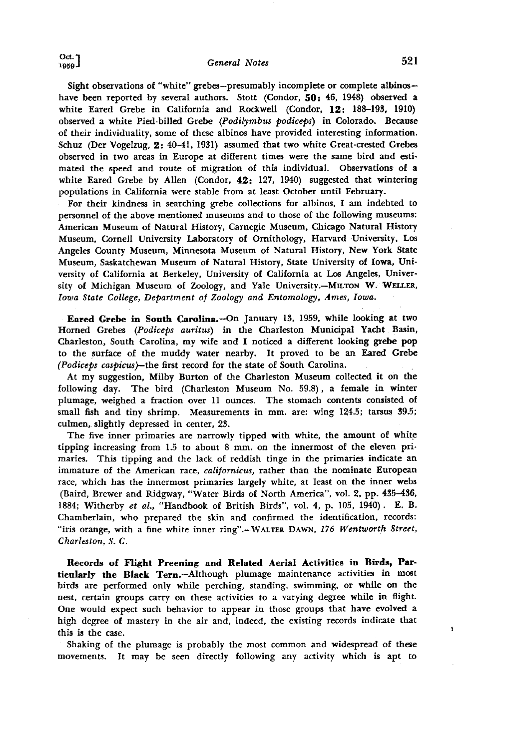**Sight observations of "white" grebes--presumably incomplete or complete albinos- have been reported by several authors. Stott (Condor, \$0: 46, 1948) observed a**  white Eared Grebe in California and Rockwell (Condor, 12: 188-193, 1910) **observed a white Pied-billed Grebe (Podilymbus podiceps) in Colorado. Because of their individuality, some of these albinos have provided interesting information. Schuz (Der Vogelzug, 9.: 40-41, 1931) assumed that two white Great-crested Grebes observed in two areas in Europe at different times were the same bird and estimated the speed and route of migration of this individual. Observations of a white Eared Grebe by Allen (Condor, 49.: 127, 1940) suggested that wintering populations in California were stable from at least October until February.** 

**For their kindness in searching grebe collections for albinos, I am indebted to personnel of the above mentioned museums and to those of the following museums: American Museum of Natural History, Carnegie Museum, Chicago Natural History Museum, Cornell University Laboratory of Ornithology, Harvard University, Los Angeles County Museum, Minnesota Museum of Natural History, New York State Museum, Saskatchewan Museum of Natural History, State University of Iowa, University of California at Berkeley, University of California at Los Angeles, Univer**sity of Michigan Museum of Zoology, and Yale University.--MILTON W. WELLER, Iowa State College, Department of Zoology and Entomology, Ames, Iowa.

Eared Grebe in South Carolina.-On January 13, 1959, while looking at two **Horned Grebes (Podiceps auritus) in the Charleston Municipal Yacht Basin, Charleston, South Carolina, my wife and I noticed a different looking grebe pop to the surface of the muddy water nearby. It proved to be an Eared Grebe (Podiceps caspicus)--the first record for the state of South Carolina.** 

**At my suggestion, Milby Burton of the Charleston Museum collected it on the following day. The bird (Charleston Museum No. 59.8), a female in winter plumage, weighed a fraction over 11 ounces. The stomach contents consisted of**  small fish and tiny shrimp. Measurements in mm. are: wing 124.5; tarsus 39.5; **culmen, slightly depressed in center, 23.** 

The five inner primaries are narrowly tipped with white, the amount of white tipping increasing from 1.5 to about 8 mm. on the innermost of the eleven pri**maries. This tipping and the lack of reddish tinge in the primaries indicate an immature of the American race, calffornicus, rather than the nominate European race, which has the innermost primaries largely white, at least on the inner webs (Baird, Brewer and Ridgway, "Water Birds of North America", vol. 2, pp. 435-436, 1884; Witherby et al., "Handbook of British Birds", vol. 4, p. 105, 1940). E.B. Chamberlain, who prepared the skin and confirmed the identification, records:**  "iris orange, with a fine white inner ring".--WALTER DAWN, 176 Wentworth Street, **Charleston, S.C.** 

**Heeords of Flight Preening and Related Aerial Activities in Birds, Partieularly the Black Term--Although plumage maintenance activities in most birds are performed only while perching, standing, swimming, or while on the nest, certain groups carry on these activities to a varying degree while in flight. One would expect such behavior to appear in those groups that have evolved a high degree of mastery in the air and, indeed, the existing records indicate that this is the case.** 

**Shaking of the plumage is probably the most common and widespread of these movements. It may be seen directly following any activity which is apt to**   $\mathbf{r}$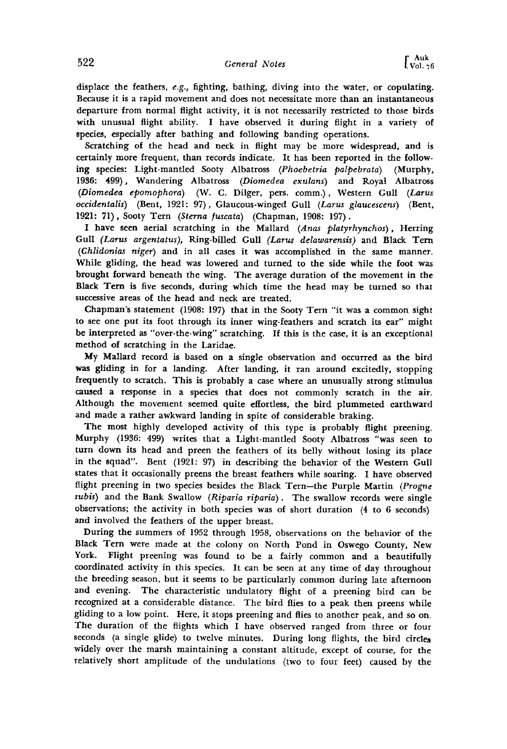**displace the feathers, e.g., fighting, bathing, diving into the water, or copulating. Because it is a rapid movement and does not necessitate more than an instantaneous departure from normal flight activity, it is not necessarily restricted to those birds with unusual flight ability. I have observed it during flight in a variety of species, especially after bathing and following banding operations.** 

**Scratching of the head and neck in flight may be more widespread, and is certainly more frequent, than records indicate. It has been reported in the follow. ing species: Light-mantled Sooty Albatross (Phoebetria palpebrata) (Murphy, 1936: 499), Wandering Albatross (Diomedea exulans) and Royal Albatross (Diomedea epomophora) (W. C. Dilger, pers. comm.), Western Gull (Larus occidentalis) (Bent, 1921: 97), Glaucous-winged Gull (Larus glaucescens) (Bent,**  1921: 71), Sooty Tern (Sterna fuscata) (Chapman, 1908: 197).

**I have seen aerial scratching in the Mallard (Anas platyrhynchos), Herring Gull (Larus argentatus), Ring-billed Gull (Larus delawarensis) and Black Tern {Ghlidonias niger) and in all cases it was accomplished in the same manner. While gliding, the head was lowered and turned to the side while the foot was brought forward beneath the wing. The average duration of the movement in the Black Tern is five seconds, during which time the head may be turned so that successive areas of the head and neck are treated.** 

Chapman's statement (1908: 197) that in the Sooty Tern "it was a common sight **to see one put its foot through its inner wing-feathers and scratch its ear" might be interpreted as "over-the-wing" scratching. If this is the case, it is an exceptional method of scratching in the Laridae.** 

**My Mallard record is based on a single observation and occurred as the bird was gliding in for a landing. After landing, it ran around excitedly, stopping frequently to scratch. This is probably a case where an unusually strong stimulus caused a response in a species that does not commonly scratch in the air. Although the movement seemed quite effortless, the bird plummeted earthward and made a rather awkward landing in spite of considerable braking.** 

**The most highly developed activity of this type is probably flight preening. Murphy (1936: 499) writes that a Light-mantled Sooty Albatross "was seen to turn down its head and preen the feathers of its belly without losing its place in the squad". Bent (1921: 97) in describing the behavior of the Western Gull states that it occasionally preens the breast feathers while soaring. I have observed flight preening in two species besides the Black Tern--the Purple Martin (Progne subis) and the Bank Swallow (Riparia riparia). The swallow records were single observations; the activity in both species was of short duration (4 to 6 seconds) and involved the feathers of the upper breast.** 

**During the summers of 1952 through 1958, observations on the behavior of the Black Tern were made at the colony on North Pond in Oswego County, New York. Flight preening was found to be a fairly common and a beautifully coordinated activity in this species. It can be seen at any time of day throughout the breeding season, but it seems to be particularly common during late afternoon and evening. The characteristic undulatory flight of a preening bird can be recognized ata considerable distance. The bird flies to a peak then preens while gliding to a low point. Here, it stops preening and flies to another peak, and so on. The duration of the flights which I have observed ranged from three or four seconds (a single glide) to twelve minutes. During long flights, the bird circles widely over the marsh maintaining a constant altitude, except of course, for the relatively short amplitude of the undulations (two to four feet) caused by the**